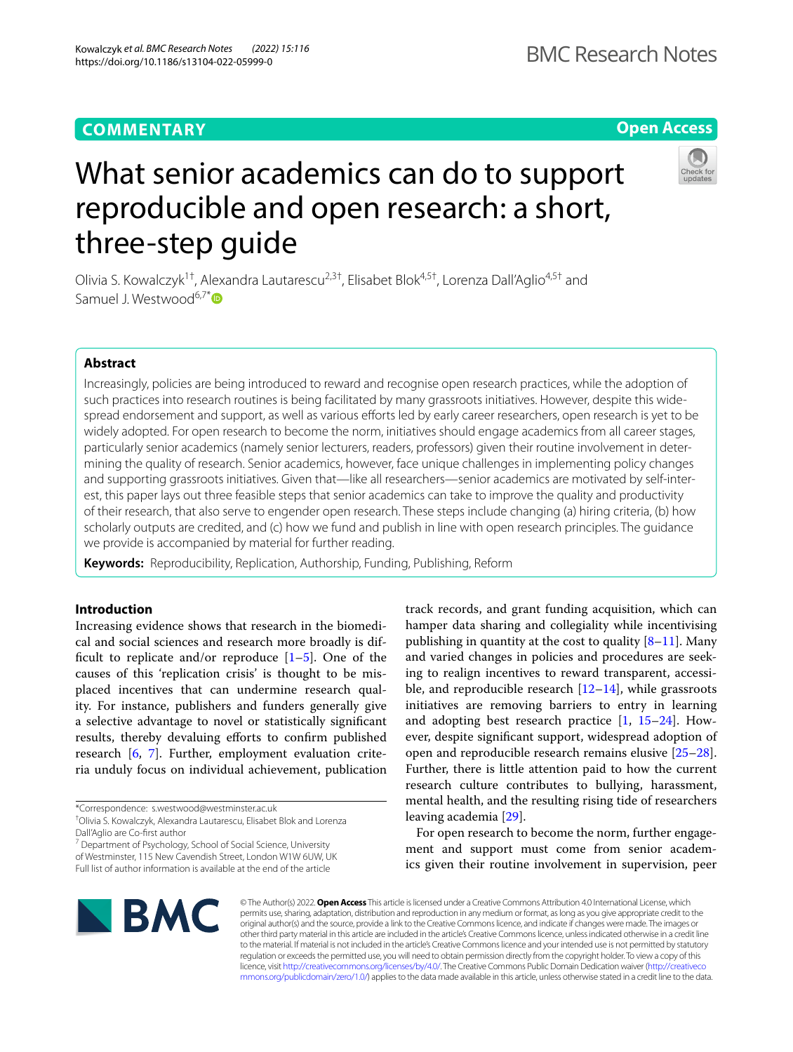# **Open Access**

BMC Research Notes

# What senior academics can do to support reproducible and open research: a short, three-step guide

Olivia S. Kowalczyk<sup>1†</sup>, Alexandra Lautarescu<sup>2,3†</sup>, Elisabet Blok<sup>4,5†</sup>, Lorenza Dall'Aglio<sup>4,5†</sup> and Samuel J. Westwood<sup>6,7[\\*](https://orcid.org/0000-0002-0107-6651)</sup>

# **Abstract**

Increasingly, policies are being introduced to reward and recognise open research practices, while the adoption of such practices into research routines is being facilitated by many grassroots initiatives. However, despite this widespread endorsement and support, as well as various efforts led by early career researchers, open research is yet to be widely adopted. For open research to become the norm, initiatives should engage academics from all career stages, particularly senior academics (namely senior lecturers, readers, professors) given their routine involvement in determining the quality of research. Senior academics, however, face unique challenges in implementing policy changes and supporting grassroots initiatives. Given that—like all researchers—senior academics are motivated by self-interest, this paper lays out three feasible steps that senior academics can take to improve the quality and productivity of their research, that also serve to engender open research. These steps include changing (a) hiring criteria, (b) how scholarly outputs are credited, and (c) how we fund and publish in line with open research principles. The guidance we provide is accompanied by material for further reading.

**Keywords:** Reproducibility, Replication, Authorship, Funding, Publishing, Reform

# **Introduction**

Increasing evidence shows that research in the biomedical and social sciences and research more broadly is difficult to replicate and/or reproduce  $[1-5]$  $[1-5]$ . One of the causes of this 'replication crisis' is thought to be misplaced incentives that can undermine research quality. For instance, publishers and funders generally give a selective advantage to novel or statistically signifcant results, thereby devaluing efforts to confirm published research [\[6](#page-5-2), [7](#page-5-3)]. Further, employment evaluation criteria unduly focus on individual achievement, publication

† Olivia S. Kowalczyk, Alexandra Lautarescu, Elisabet Blok and Lorenza Dall'Aglio are Co-frst author

<sup>7</sup> Department of Psychology, School of Social Science, University of Westminster, 115 New Cavendish Street, London W1W 6UW, UK Full list of author information is available at the end of the article

track records, and grant funding acquisition, which can hamper data sharing and collegiality while incentivising publishing in quantity at the cost to quality  $[8-11]$  $[8-11]$  $[8-11]$ . Many and varied changes in policies and procedures are seeking to realign incentives to reward transparent, accessible, and reproducible research  $[12-14]$  $[12-14]$  $[12-14]$ , while grassroots initiatives are removing barriers to entry in learning and adopting best research practice [\[1](#page-5-0), [15](#page-5-8)[–24](#page-6-0)]. However, despite signifcant support, widespread adoption of open and reproducible research remains elusive [[25](#page-6-1)[–28](#page-6-2)]. Further, there is little attention paid to how the current research culture contributes to bullying, harassment, mental health, and the resulting rising tide of researchers leaving academia [[29\]](#page-6-3).

For open research to become the norm, further engagement and support must come from senior academics given their routine involvement in supervision, peer



© The Author(s) 2022. **Open Access** This article is licensed under a Creative Commons Attribution 4.0 International License, which permits use, sharing, adaptation, distribution and reproduction in any medium or format, as long as you give appropriate credit to the original author(s) and the source, provide a link to the Creative Commons licence, and indicate if changes were made. The images or other third party material in this article are included in the article's Creative Commons licence, unless indicated otherwise in a credit line to the material. If material is not included in the article's Creative Commons licence and your intended use is not permitted by statutory regulation or exceeds the permitted use, you will need to obtain permission directly from the copyright holder. To view a copy of this licence, visit [http://creativecommons.org/licenses/by/4.0/.](http://creativecommons.org/licenses/by/4.0/) The Creative Commons Public Domain Dedication waiver ([http://creativeco](http://creativecommons.org/publicdomain/zero/1.0/) [mmons.org/publicdomain/zero/1.0/](http://creativecommons.org/publicdomain/zero/1.0/)) applies to the data made available in this article, unless otherwise stated in a credit line to the data.

<sup>\*</sup>Correspondence: s.westwood@westminster.ac.uk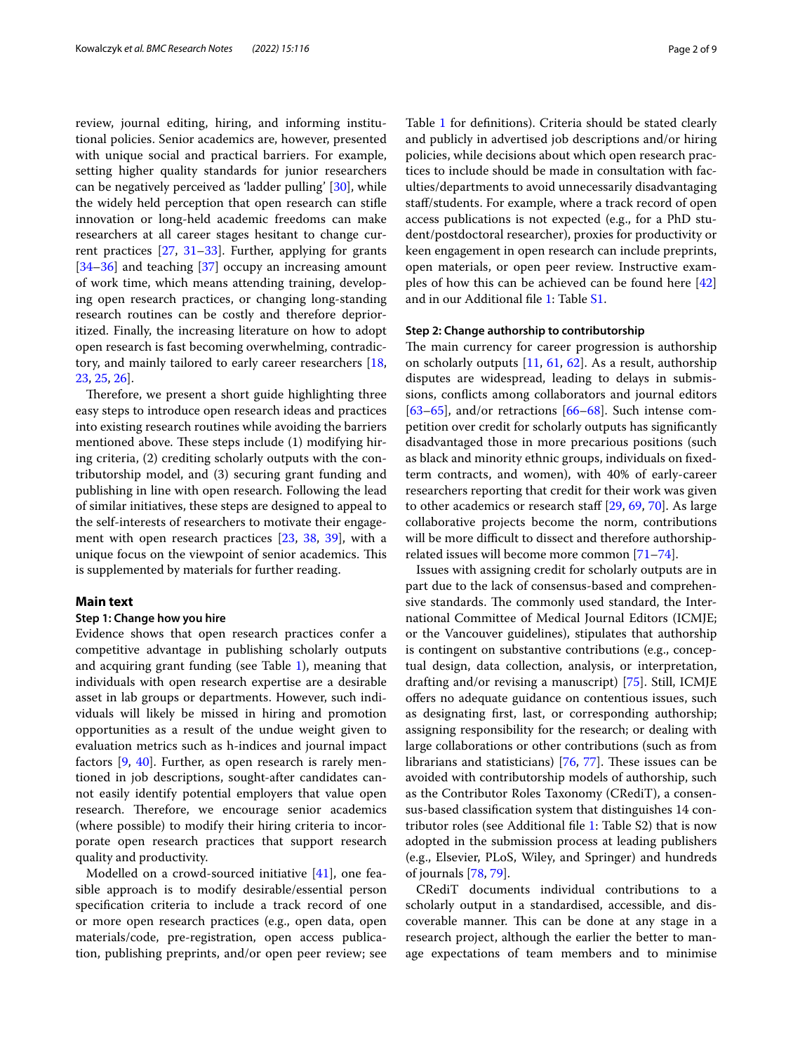review, journal editing, hiring, and informing institutional policies. Senior academics are, however, presented with unique social and practical barriers. For example, setting higher quality standards for junior researchers can be negatively perceived as 'ladder pulling' [[30](#page-6-4)], while the widely held perception that open research can stife innovation or long-held academic freedoms can make researchers at all career stages hesitant to change current practices [[27,](#page-6-5) [31–](#page-6-6)[33\]](#page-6-7). Further, applying for grants [[34–](#page-6-8)[36](#page-6-9)] and teaching [[37](#page-6-10)] occupy an increasing amount of work time, which means attending training, developing open research practices, or changing long-standing research routines can be costly and therefore deprioritized. Finally, the increasing literature on how to adopt open research is fast becoming overwhelming, contradictory, and mainly tailored to early career researchers [\[18](#page-6-11), [23,](#page-6-12) [25,](#page-6-1) [26](#page-6-13)].

Therefore, we present a short guide highlighting three easy steps to introduce open research ideas and practices into existing research routines while avoiding the barriers mentioned above. These steps include (1) modifying hiring criteria, (2) crediting scholarly outputs with the contributorship model, and (3) securing grant funding and publishing in line with open research. Following the lead of similar initiatives, these steps are designed to appeal to the self-interests of researchers to motivate their engagement with open research practices [[23,](#page-6-12) [38,](#page-6-14) [39](#page-6-15)], with a unique focus on the viewpoint of senior academics. This is supplemented by materials for further reading.

# **Main text**

# **Step 1: Change how you hire**

Evidence shows that open research practices confer a competitive advantage in publishing scholarly outputs and acquiring grant funding (see Table [1\)](#page-2-0), meaning that individuals with open research expertise are a desirable asset in lab groups or departments. However, such individuals will likely be missed in hiring and promotion opportunities as a result of the undue weight given to evaluation metrics such as h-indices and journal impact factors [\[9](#page-5-9), [40](#page-6-16)]. Further, as open research is rarely mentioned in job descriptions, sought-after candidates cannot easily identify potential employers that value open research. Therefore, we encourage senior academics (where possible) to modify their hiring criteria to incorporate open research practices that support research quality and productivity.

Modelled on a crowd-sourced initiative [\[41](#page-6-17)], one feasible approach is to modify desirable/essential person specifcation criteria to include a track record of one or more open research practices (e.g., open data, open materials/code, pre-registration, open access publication, publishing preprints, and/or open peer review; see Table [1](#page-2-0) for defnitions). Criteria should be stated clearly and publicly in advertised job descriptions and/or hiring policies, while decisions about which open research practices to include should be made in consultation with faculties/departments to avoid unnecessarily disadvantaging staff/students. For example, where a track record of open access publications is not expected (e.g., for a PhD student/postdoctoral researcher), proxies for productivity or keen engagement in open research can include preprints, open materials, or open peer review. Instructive examples of how this can be achieved can be found here [[42](#page-6-18)] and in our Additional fle [1:](#page-5-10) Table [S1.](#page-5-10)

# **Step 2: Change authorship to contributorship**

The main currency for career progression is authorship on scholarly outputs [[11,](#page-5-5) [61,](#page-6-19) [62\]](#page-7-0). As a result, authorship disputes are widespread, leading to delays in submissions, conficts among collaborators and journal editors [[63–](#page-7-1)[65\]](#page-7-2), and/or retractions  $[66–68]$  $[66–68]$  $[66–68]$  $[66–68]$ . Such intense competition over credit for scholarly outputs has signifcantly disadvantaged those in more precarious positions (such as black and minority ethnic groups, individuals on fxedterm contracts, and women), with 40% of early-career researchers reporting that credit for their work was given to other academics or research staff [[29](#page-6-3), [69](#page-7-5), [70\]](#page-7-6). As large collaborative projects become the norm, contributions will be more difficult to dissect and therefore authorshiprelated issues will become more common [[71](#page-7-7)[–74](#page-7-8)].

Issues with assigning credit for scholarly outputs are in part due to the lack of consensus-based and comprehensive standards. The commonly used standard, the International Committee of Medical Journal Editors (ICMJE; or the Vancouver guidelines), stipulates that authorship is contingent on substantive contributions (e.g., conceptual design, data collection, analysis, or interpretation, drafting and/or revising a manuscript) [[75\]](#page-7-9). Still, ICMJE ofers no adequate guidance on contentious issues, such as designating frst, last, or corresponding authorship; assigning responsibility for the research; or dealing with large collaborations or other contributions (such as from librarians and statisticians)  $[76, 77]$  $[76, 77]$  $[76, 77]$  $[76, 77]$  $[76, 77]$ . These issues can be avoided with contributorship models of authorship, such as the Contributor Roles Taxonomy (CRediT), a consensus-based classifcation system that distinguishes 14 contributor roles (see Additional fle [1](#page-5-10): Table S2) that is now adopted in the submission process at leading publishers (e.g., Elsevier, PLoS, Wiley, and Springer) and hundreds of journals [[78,](#page-7-12) [79\]](#page-7-13).

CRediT documents individual contributions to a scholarly output in a standardised, accessible, and discoverable manner. This can be done at any stage in a research project, although the earlier the better to manage expectations of team members and to minimise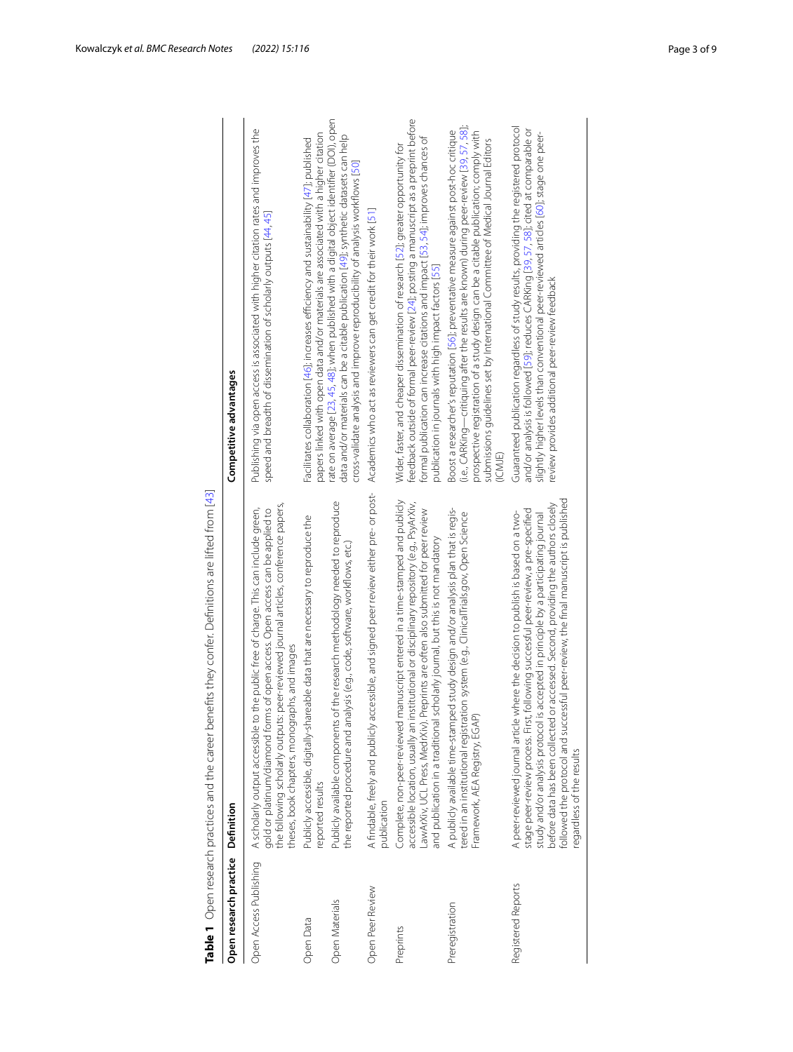<span id="page-2-0"></span>

|                        | Table 1 Open research practices and the career benefits they confer. Definitions are lifted from [43]                                                                                                                                                                                                                                                                                                                                                                      |                                                                                                                                                                                                                                                                                                                                                                        |
|------------------------|----------------------------------------------------------------------------------------------------------------------------------------------------------------------------------------------------------------------------------------------------------------------------------------------------------------------------------------------------------------------------------------------------------------------------------------------------------------------------|------------------------------------------------------------------------------------------------------------------------------------------------------------------------------------------------------------------------------------------------------------------------------------------------------------------------------------------------------------------------|
| Open research practice | Definition                                                                                                                                                                                                                                                                                                                                                                                                                                                                 | Competitive advantages                                                                                                                                                                                                                                                                                                                                                 |
| Open Access Publishing | the following scholarly outputs: peer-reviewed journal articles, conference papers,<br>A scholarly output accessible to the public free of charge. This can include green,<br>gold or platinum/diamond forms of open access. Open access can be applied to<br>theses, book chapters, monographs, and images                                                                                                                                                                | Publishing via open access is associated with higher citation rates and improves the<br>speed and breadth of dissemination of scholarly outputs [44, 45]                                                                                                                                                                                                               |
| Open Data              | Publicly accessible, digitally-shareable data that are necessary to reproduce the<br>eported results                                                                                                                                                                                                                                                                                                                                                                       | papers linked with open data and/or materials are associated with a higher citation<br>Facilitates collaboration [46]; increases efficiency and sustainability [47]; published                                                                                                                                                                                         |
| Open Materials         | Publicly available components of the research methodology needed to reproduce<br>the reported procedure and analysis (e.g., code, software, workflows, etc.)                                                                                                                                                                                                                                                                                                               | rate on average [23, 45, 48]; when published with a digital object identifier (DOI), open<br>data and/or materials can be a citable publication [49]; synthetic datasets can help<br>cross-validate analysis and improve reproducibility of analysis workflows [50]                                                                                                    |
| Open Peer Review       | A findable, freely and publicly accessible, and signed peer review either pre- or post-<br>publication                                                                                                                                                                                                                                                                                                                                                                     | Academics who act as reviewers can get credit for their work [51]                                                                                                                                                                                                                                                                                                      |
| Preprints              | Complete, non-peer-reviewed manuscript entered in a time-stamped and publicly<br>accessible location, usually an institutional or disciplinary repository (e.g., PsyArXiv,<br>LawArXiv, UCL Press, MedrXiv). Preprints are often also submitted for peer review<br>and publication in a traditional scholarly journal, but this is not mandatory                                                                                                                           | feedback outside of formal peer-review [24]; posting a manuscript as a preprint before<br>formal publication can increase citations and impact [53, 54]; improves chances of<br>Wider, faster, and cheaper dissemination of research [52]; greater opportunity for<br>publication in journals with high impact factors [55]                                            |
| Preregistration        | A publicly available time-stamped study design and/or analysis plan that is regis-<br>tered in an institutional registration system (e.g., ClinicalTrials.gov, Open Science<br>Framework, AEA Registry, EGAP)                                                                                                                                                                                                                                                              | (i.e., CARKing—critiquing after the results are known) during peer-review [39, 57, 58];<br>Boost a researcher's reputation [56]; preventative measure against post-hoc critique<br>prospective registration of a study design can be a citable publication; comply with<br>submissions guidelines set by International Committee of Medical Journal Editors<br>(ICMJE) |
| Registered Reports     | sful peer-review, the final manuscript is published<br>before data has been collected or accessed. Second, providing the authors closely<br>stage peer-review process. First, following successful peer-review, a pre-specified<br>A peer-reviewed journal article where the decision to publish is based on a two-<br>study and/or analysis protocol is accepted in principle by a participating journal<br>followed the protocol and succes<br>regardless of the results | Guaranteed publication regardless of study results, providing the registered protocol<br>and/or analysis is followed [59]; reduces CARKing [39, 57, 58]; cited at comparable or<br>slightly higher levels than conventional peer-reviewed articles [60]; stage one peer-<br>review provides additional peer-review feedback                                            |
|                        |                                                                                                                                                                                                                                                                                                                                                                                                                                                                            |                                                                                                                                                                                                                                                                                                                                                                        |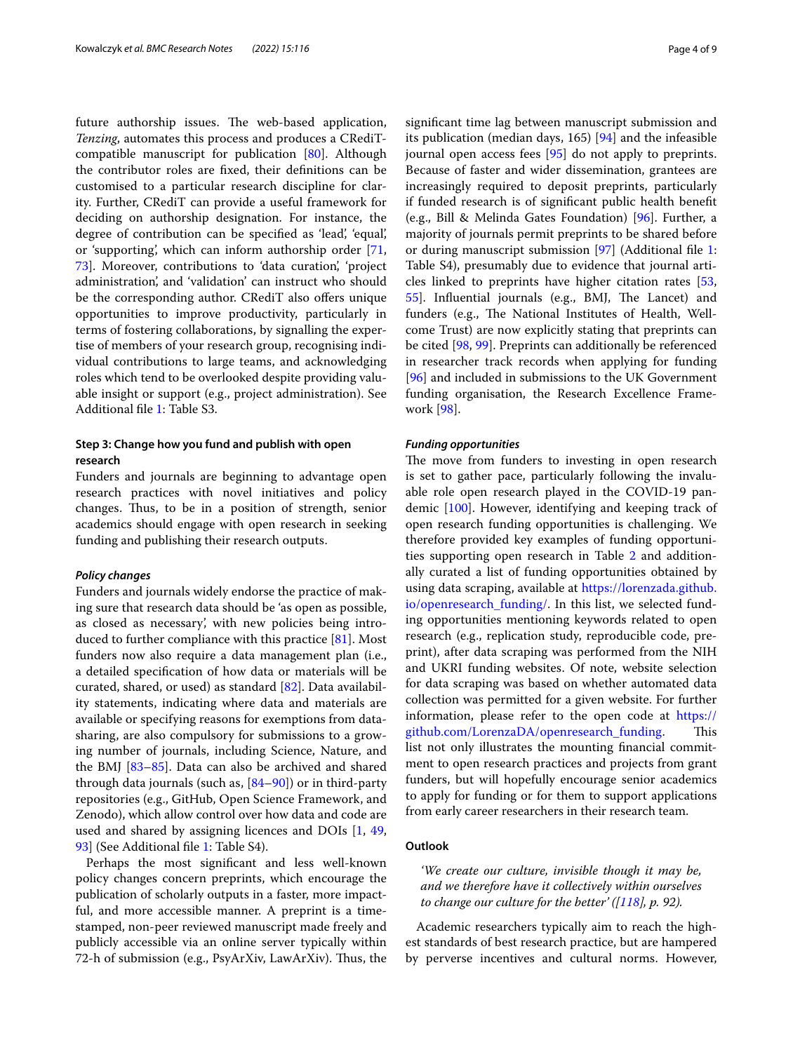future authorship issues. The web-based application, *Tenzing*, automates this process and produces a CRediTcompatible manuscript for publication [\[80](#page-7-14)]. Although the contributor roles are fxed, their defnitions can be customised to a particular research discipline for clarity. Further, CRediT can provide a useful framework for deciding on authorship designation. For instance, the degree of contribution can be specifed as 'lead', 'equal', or 'supporting', which can inform authorship order [\[71](#page-7-7), [73\]](#page-7-15). Moreover, contributions to 'data curation', 'project administration', and 'validation' can instruct who should be the corresponding author. CRediT also offers unique opportunities to improve productivity, particularly in terms of fostering collaborations, by signalling the expertise of members of your research group, recognising individual contributions to large teams, and acknowledging roles which tend to be overlooked despite providing valuable insight or support (e.g., project administration). See Additional fle [1](#page-5-10): Table S3.

# **Step 3: Change how you fund and publish with open research**

Funders and journals are beginning to advantage open research practices with novel initiatives and policy changes. Thus, to be in a position of strength, senior academics should engage with open research in seeking funding and publishing their research outputs.

### *Policy changes*

Funders and journals widely endorse the practice of making sure that research data should be 'as open as possible, as closed as necessary', with new policies being introduced to further compliance with this practice [[81](#page-7-16)]. Most funders now also require a data management plan (i.e., a detailed specifcation of how data or materials will be curated, shared, or used) as standard [[82](#page-7-17)]. Data availability statements, indicating where data and materials are available or specifying reasons for exemptions from datasharing, are also compulsory for submissions to a growing number of journals, including Science, Nature, and the BMJ [\[83–](#page-7-18)[85\]](#page-7-19). Data can also be archived and shared through data journals (such as, [[84–](#page-7-20)[90](#page-7-21)]) or in third-party repositories (e.g., GitHub, Open Science Framework, and Zenodo), which allow control over how data and code are used and shared by assigning licences and DOIs [[1,](#page-5-0) [49](#page-6-26), [93\]](#page-7-22) (See Additional file [1](#page-5-10): Table S4).

Perhaps the most signifcant and less well-known policy changes concern preprints, which encourage the publication of scholarly outputs in a faster, more impactful, and more accessible manner. A preprint is a timestamped, non-peer reviewed manuscript made freely and publicly accessible via an online server typically within 72-h of submission (e.g., PsyArXiv, LawArXiv). Thus, the signifcant time lag between manuscript submission and its publication (median days, 165) [\[94](#page-7-23)] and the infeasible journal open access fees [[95\]](#page-7-24) do not apply to preprints. Because of faster and wider dissemination, grantees are increasingly required to deposit preprints, particularly if funded research is of signifcant public health beneft (e.g., Bill & Melinda Gates Foundation) [[96](#page-7-25)]. Further, a majority of journals permit preprints to be shared before or during manuscript submission [[97](#page-7-26)] (Additional fle [1](#page-5-10): Table S4), presumably due to evidence that journal articles linked to preprints have higher citation rates [[53](#page-6-30), [55\]](#page-6-32). Influential journals (e.g., BMJ, The Lancet) and funders (e.g., The National Institutes of Health, Wellcome Trust) are now explicitly stating that preprints can be cited [[98,](#page-7-27) [99](#page-7-28)]. Preprints can additionally be referenced in researcher track records when applying for funding [[96\]](#page-7-25) and included in submissions to the UK Government funding organisation, the Research Excellence Framework [[98\]](#page-7-27).

### *Funding opportunities*

The move from funders to investing in open research is set to gather pace, particularly following the invaluable role open research played in the COVID-19 pandemic [[100\]](#page-7-29). However, identifying and keeping track of open research funding opportunities is challenging. We therefore provided key examples of funding opportuni-ties supporting open research in Table [2](#page-4-0) and additionally curated a list of funding opportunities obtained by using data scraping, available at [https://lorenzada.github.](https://lorenzada.github.io/openresearch_funding/) [io/openresearch\\_funding/](https://lorenzada.github.io/openresearch_funding/). In this list, we selected funding opportunities mentioning keywords related to open research (e.g., replication study, reproducible code, preprint), after data scraping was performed from the NIH and UKRI funding websites. Of note, website selection for data scraping was based on whether automated data collection was permitted for a given website. For further information, please refer to the open code at [https://](https://github.com/LorenzaDA/openresearch_funding) [github.com/LorenzaDA/openresearch\\_funding.](https://github.com/LorenzaDA/openresearch_funding) This list not only illustrates the mounting fnancial commitment to open research practices and projects from grant funders, but will hopefully encourage senior academics to apply for funding or for them to support applications from early career researchers in their research team.

# **Outlook**

*'We create our culture, invisible though it may be, and we therefore have it collectively within ourselves to change our culture for the better' ([[118\]](#page-8-0), p. 92).*

Academic researchers typically aim to reach the highest standards of best research practice, but are hampered by perverse incentives and cultural norms. However,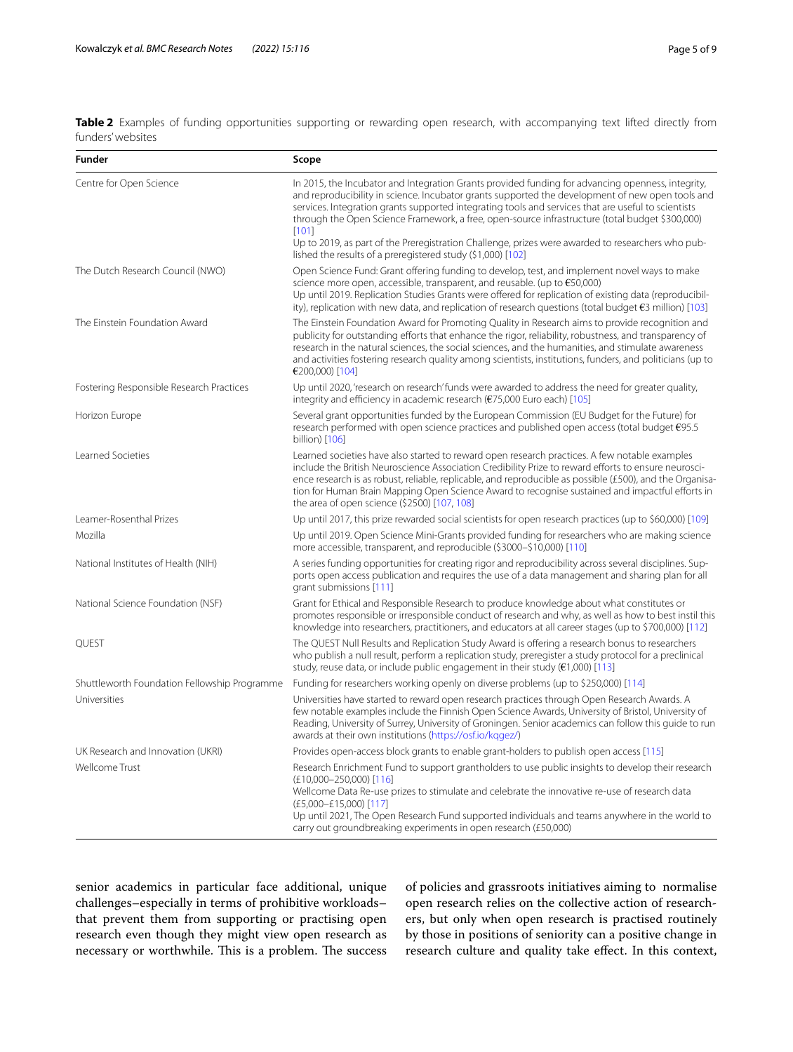<span id="page-4-0"></span>**Table 2** Examples of funding opportunities supporting or rewarding open research, with accompanying text lifted directly from funders' websites

| <b>Funder</b>                                | Scope                                                                                                                                                                                                                                                                                                                                                                                                                                                                |
|----------------------------------------------|----------------------------------------------------------------------------------------------------------------------------------------------------------------------------------------------------------------------------------------------------------------------------------------------------------------------------------------------------------------------------------------------------------------------------------------------------------------------|
| Centre for Open Science                      | In 2015, the Incubator and Integration Grants provided funding for advancing openness, integrity,<br>and reproducibility in science. Incubator grants supported the development of new open tools and<br>services. Integration grants supported integrating tools and services that are useful to scientists<br>through the Open Science Framework, a free, open-source infrastructure (total budget \$300,000)<br>[101]                                             |
|                                              | Up to 2019, as part of the Preregistration Challenge, prizes were awarded to researchers who pub-<br>lished the results of a preregistered study (\$1,000) [102]                                                                                                                                                                                                                                                                                                     |
| The Dutch Research Council (NWO)             | Open Science Fund: Grant offering funding to develop, test, and implement novel ways to make<br>science more open, accessible, transparent, and reusable. (up to $€50,000$ )<br>Up until 2019. Replication Studies Grants were offered for replication of existing data (reproducibil-<br>ity), replication with new data, and replication of research questions (total budget €3 million) [103]                                                                     |
| The Einstein Foundation Award                | The Einstein Foundation Award for Promoting Quality in Research aims to provide recognition and<br>publicity for outstanding efforts that enhance the rigor, reliability, robustness, and transparency of<br>research in the natural sciences, the social sciences, and the humanities, and stimulate awareness<br>and activities fostering research quality among scientists, institutions, funders, and politicians (up to<br>€200,000) [104]                      |
| Fostering Responsible Research Practices     | Up until 2020, 'research on research' funds were awarded to address the need for greater quality,<br>integrity and efficiency in academic research (€75,000 Euro each) [105]                                                                                                                                                                                                                                                                                         |
| Horizon Europe                               | Several grant opportunities funded by the European Commission (EU Budget for the Future) for<br>research performed with open science practices and published open access (total budget $\epsilon$ 95.5<br>billion) [106]                                                                                                                                                                                                                                             |
| Learned Societies                            | Learned societies have also started to reward open research practices. A few notable examples<br>include the British Neuroscience Association Credibility Prize to reward efforts to ensure neurosci-<br>ence research is as robust, reliable, replicable, and reproducible as possible (£500), and the Organisa-<br>tion for Human Brain Mapping Open Science Award to recognise sustained and impactful efforts in<br>the area of open science (\$2500) [107, 108] |
| Leamer-Rosenthal Prizes                      | Up until 2017, this prize rewarded social scientists for open research practices (up to \$60,000) [109]                                                                                                                                                                                                                                                                                                                                                              |
| Mozilla                                      | Up until 2019. Open Science Mini-Grants provided funding for researchers who are making science<br>more accessible, transparent, and reproducible (\$3000-\$10,000) [110]                                                                                                                                                                                                                                                                                            |
| National Institutes of Health (NIH)          | A series funding opportunities for creating rigor and reproducibility across several disciplines. Sup-<br>ports open access publication and requires the use of a data management and sharing plan for all<br>grant submissions [111]                                                                                                                                                                                                                                |
| National Science Foundation (NSF)            | Grant for Ethical and Responsible Research to produce knowledge about what constitutes or<br>promotes responsible or irresponsible conduct of research and why, as well as how to best instil this<br>knowledge into researchers, practitioners, and educators at all career stages (up to \$700,000) [112]                                                                                                                                                          |
| QUEST                                        | The QUEST Null Results and Replication Study Award is offering a research bonus to researchers<br>who publish a null result, perform a replication study, preregister a study protocol for a preclinical<br>study, reuse data, or include public engagement in their study ( $\epsilon$ 1,000) [113]                                                                                                                                                                 |
| Shuttleworth Foundation Fellowship Programme | Funding for researchers working openly on diverse problems (up to \$250,000) [114]                                                                                                                                                                                                                                                                                                                                                                                   |
| Universities                                 | Universities have started to reward open research practices through Open Research Awards. A<br>few notable examples include the Finnish Open Science Awards, University of Bristol, University of<br>Reading, University of Surrey, University of Groningen. Senior academics can follow this quide to run<br>awards at their own institutions (https://osf.io/kggez/)                                                                                               |
| UK Research and Innovation (UKRI)            | Provides open-access block grants to enable grant-holders to publish open access [115]                                                                                                                                                                                                                                                                                                                                                                               |
| Wellcome Trust                               | Research Enrichment Fund to support grantholders to use public insights to develop their research<br>$(E10,000-250,000)$ [116]<br>Wellcome Data Re-use prizes to stimulate and celebrate the innovative re-use of research data<br>$(E5,000 - E15,000)$ [117]<br>Up until 2021, The Open Research Fund supported individuals and teams anywhere in the world to                                                                                                      |
|                                              | carry out groundbreaking experiments in open research (£50,000)                                                                                                                                                                                                                                                                                                                                                                                                      |

senior academics in particular face additional, unique challenges–especially in terms of prohibitive workloads– that prevent them from supporting or practising open research even though they might view open research as necessary or worthwhile. This is a problem. The success of policies and grassroots initiatives aiming to normalise open research relies on the collective action of researchers, but only when open research is practised routinely by those in positions of seniority can a positive change in research culture and quality take efect. In this context,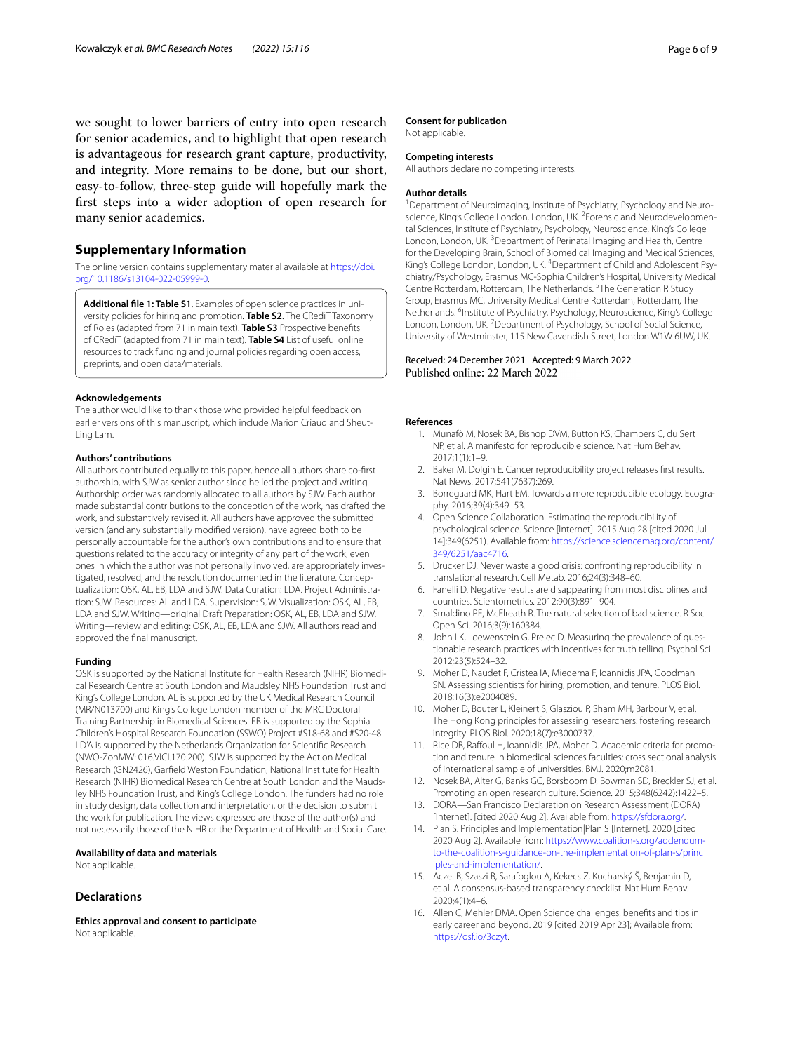we sought to lower barriers of entry into open research for senior academics, and to highlight that open research is advantageous for research grant capture, productivity, and integrity. More remains to be done, but our short, easy-to-follow, three-step guide will hopefully mark the frst steps into a wider adoption of open research for many senior academics.

# **Supplementary Information**

The online version contains supplementary material available at [https://doi.](https://doi.org/10.1186/s13104-022-05999-0) [org/10.1186/s13104-022-05999-0](https://doi.org/10.1186/s13104-022-05999-0).

<span id="page-5-10"></span>**Additional fle 1: Table S1**. Examples of open science practices in university policies for hiring and promotion. **Table S2**. The CRediT Taxonomy of Roles (adapted from 71 in main text). **Table S3** Prospective benefts of CRediT (adapted from 71 in main text). **Table S4** List of useful online resources to track funding and journal policies regarding open access, preprints, and open data/materials.

#### **Acknowledgements**

The author would like to thank those who provided helpful feedback on earlier versions of this manuscript, which include Marion Criaud and Sheut-Ling Lam.

#### **Authors' contributions**

All authors contributed equally to this paper, hence all authors share co-frst authorship, with SJW as senior author since he led the project and writing. Authorship order was randomly allocated to all authors by SJW. Each author made substantial contributions to the conception of the work, has drafted the work, and substantively revised it. All authors have approved the submitted version (and any substantially modifed version), have agreed both to be personally accountable for the author's own contributions and to ensure that questions related to the accuracy or integrity of any part of the work, even ones in which the author was not personally involved, are appropriately investigated, resolved, and the resolution documented in the literature. Conceptualization: OSK, AL, EB, LDA and SJW. Data Curation: LDA. Project Administration: SJW. Resources: AL and LDA. Supervision: SJW. Visualization: OSK, AL, EB, LDA and SJW. Writing—original Draft Preparation: OSK, AL, EB, LDA and SJW. Writing—review and editing: OSK, AL, EB, LDA and SJW. All authors read and approved the fnal manuscript.

#### **Funding**

OSK is supported by the National Institute for Health Research (NIHR) Biomedical Research Centre at South London and Maudsley NHS Foundation Trust and King's College London. AL is supported by the UK Medical Research Council (MR/N013700) and King's College London member of the MRC Doctoral Training Partnership in Biomedical Sciences. EB is supported by the Sophia Children's Hospital Research Foundation (SSWO) Project #S18-68 and #S20-48. LD'A is supported by the Netherlands Organization for Scientifc Research (NWO-ZonMW: 016.VICI.170.200). SJW is supported by the Action Medical Research (GN2426), Garfeld Weston Foundation, National Institute for Health Research (NIHR) Biomedical Research Centre at South London and the Maudsley NHS Foundation Trust, and King's College London. The funders had no role in study design, data collection and interpretation, or the decision to submit the work for publication. The views expressed are those of the author(s) and not necessarily those of the NIHR or the Department of Health and Social Care.

#### **Availability of data and materials**

Not applicable.

#### **Declarations**

**Ethics approval and consent to participate** Not applicable.

#### **Consent for publication**

Not applicable.

# **Competing interests**

All authors declare no competing interests.

#### **Author details**

<sup>1</sup> Department of Neuroimaging, Institute of Psychiatry, Psychology and Neuroscience, King's College London, London, UK. <sup>2</sup> Forensic and Neurodevelopmental Sciences, Institute of Psychiatry, Psychology, Neuroscience, King's College London, London, UK.<sup>3</sup> Department of Perinatal Imaging and Health, Centre for the Developing Brain, School of Biomedical Imaging and Medical Sciences, King's College London, London, UK. <sup>4</sup> Department of Child and Adolescent Psychiatry/Psychology, Erasmus MC-Sophia Children's Hospital, University Medical Centre Rotterdam, Rotterdam, The Netherlands.<sup>5</sup> The Generation R Study Group, Erasmus MC, University Medical Centre Rotterdam, Rotterdam, The Netherlands. <sup>6</sup>Institute of Psychiatry, Psychology, Neuroscience, King's College London, London, UK.<sup>7</sup> Department of Psychology, School of Social Science, University of Westminster, 115 New Cavendish Street, London W1W 6UW, UK.

# Received: 24 December 2021 Accepted: 9 March 2022

#### <span id="page-5-0"></span>**References**

- 1. Munafò M, Nosek BA, Bishop DVM, Button KS, Chambers C, du Sert NP, et al. A manifesto for reproducible science. Nat Hum Behav. 2017;1(1):1–9.
- 2. Baker M, Dolgin E. Cancer reproducibility project releases frst results. Nat News. 2017;541(7637):269.
- 3. Borregaard MK, Hart EM. Towards a more reproducible ecology. Ecography. 2016;39(4):349–53.
- 4. Open Science Collaboration. Estimating the reproducibility of psychological science. Science [Internet]. 2015 Aug 28 [cited 2020 Jul 14];349(6251). Available from: [https://science.sciencemag.org/content/](https://science.sciencemag.org/content/349/6251/aac4716) [349/6251/aac4716.](https://science.sciencemag.org/content/349/6251/aac4716)
- <span id="page-5-1"></span>5. Drucker DJ. Never waste a good crisis: confronting reproducibility in translational research. Cell Metab. 2016;24(3):348–60.
- <span id="page-5-2"></span>6. Fanelli D. Negative results are disappearing from most disciplines and countries. Scientometrics. 2012;90(3):891–904.
- <span id="page-5-3"></span>7. Smaldino PE, McElreath R. The natural selection of bad science. R Soc Open Sci. 2016;3(9):160384.
- <span id="page-5-4"></span>8. John LK, Loewenstein G, Prelec D. Measuring the prevalence of questionable research practices with incentives for truth telling. Psychol Sci. 2012;23(5):524–32.
- <span id="page-5-9"></span>9. Moher D, Naudet F, Cristea IA, Miedema F, Ioannidis JPA, Goodman SN. Assessing scientists for hiring, promotion, and tenure. PLOS Biol. 2018;16(3):e2004089.
- 10. Moher D, Bouter L, Kleinert S, Glasziou P, Sham MH, Barbour V, et al. The Hong Kong principles for assessing researchers: fostering research integrity. PLOS Biol. 2020;18(7):e3000737.
- <span id="page-5-5"></span>11. Rice DB, Rafoul H, Ioannidis JPA, Moher D. Academic criteria for promotion and tenure in biomedical sciences faculties: cross sectional analysis of international sample of universities. BMJ. 2020;m2081.
- <span id="page-5-6"></span>12. Nosek BA, Alter G, Banks GC, Borsboom D, Bowman SD, Breckler SJ, et al. Promoting an open research culture. Science. 2015;348(6242):1422–5.
- 13. DORA—San Francisco Declaration on Research Assessment (DORA) [Internet]. [cited 2020 Aug 2]. Available from: [https://sfdora.org/.](https://sfdora.org/)
- <span id="page-5-7"></span>14. Plan S. Principles and Implementation|Plan S [Internet]. 2020 [cited 2020 Aug 2]. Available from: [https://www.coalition-s.org/addendum](https://www.coalition-s.org/addendum-to-the-coalition-s-guidance-on-the-implementation-of-plan-s/principles-and-implementation/)[to-the-coalition-s-guidance-on-the-implementation-of-plan-s/princ](https://www.coalition-s.org/addendum-to-the-coalition-s-guidance-on-the-implementation-of-plan-s/principles-and-implementation/) [iples-and-implementation/](https://www.coalition-s.org/addendum-to-the-coalition-s-guidance-on-the-implementation-of-plan-s/principles-and-implementation/).
- <span id="page-5-8"></span>15. Aczel B, Szaszi B, Sarafoglou A, Kekecs Z, Kucharský Š, Benjamin D, et al. A consensus-based transparency checklist. Nat Hum Behav. 2020;4(1):4–6.
- 16. Allen C, Mehler DMA. Open Science challenges, benefts and tips in early career and beyond. 2019 [cited 2019 Apr 23]; Available from: <https://osf.io/3czyt>.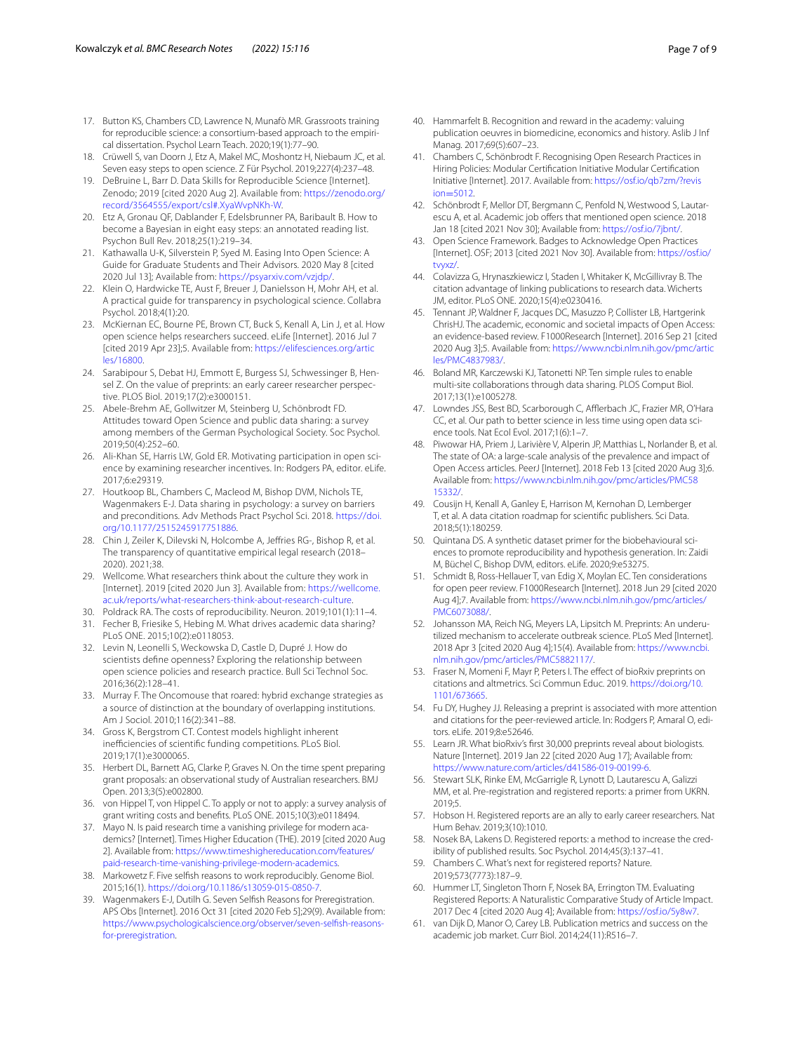- 17. Button KS, Chambers CD, Lawrence N, Munafò MR. Grassroots training for reproducible science: a consortium-based approach to the empirical dissertation. Psychol Learn Teach. 2020;19(1):77–90.
- <span id="page-6-11"></span>18. Crüwell S, van Doorn J, Etz A, Makel MC, Moshontz H, Niebaum JC, et al. Seven easy steps to open science. Z Für Psychol. 2019;227(4):237–48.
- 19. DeBruine L, Barr D. Data Skills for Reproducible Science [Internet]. Zenodo; 2019 [cited 2020 Aug 2]. Available from: [https://zenodo.org/](https://zenodo.org/record/3564555/export/csl#.XyaWvpNKh-W) [record/3564555/export/csl#.XyaWvpNKh-W](https://zenodo.org/record/3564555/export/csl#.XyaWvpNKh-W).
- 20. Etz A, Gronau QF, Dablander F, Edelsbrunner PA, Baribault B. How to become a Bayesian in eight easy steps: an annotated reading list. Psychon Bull Rev. 2018;25(1):219–34.
- 21. Kathawalla U-K, Silverstein P, Syed M. Easing Into Open Science: A Guide for Graduate Students and Their Advisors. 2020 May 8 [cited 2020 Jul 13]; Available from: [https://psyarxiv.com/vzjdp/.](https://psyarxiv.com/vzjdp/)
- 22. Klein O, Hardwicke TE, Aust F, Breuer J, Danielsson H, Mohr AH, et al. A practical guide for transparency in psychological science. Collabra Psychol. 2018;4(1):20.
- <span id="page-6-12"></span>23. McKiernan EC, Bourne PE, Brown CT, Buck S, Kenall A, Lin J, et al. How open science helps researchers succeed. eLife [Internet]. 2016 Jul 7 [cited 2019 Apr 23];5. Available from: [https://elifesciences.org/artic](https://elifesciences.org/articles/16800) [les/16800](https://elifesciences.org/articles/16800).
- <span id="page-6-0"></span>24. Sarabipour S, Debat HJ, Emmott E, Burgess SJ, Schwessinger B, Hensel Z. On the value of preprints: an early career researcher perspective. PLOS Biol. 2019;17(2):e3000151.
- <span id="page-6-1"></span>25. Abele-Brehm AE, Gollwitzer M, Steinberg U, Schönbrodt FD. Attitudes toward Open Science and public data sharing: a survey among members of the German Psychological Society. Soc Psychol. 2019;50(4):252–60.
- <span id="page-6-13"></span>26. Ali-Khan SE, Harris LW, Gold ER. Motivating participation in open science by examining researcher incentives. In: Rodgers PA, editor. eLife. 2017;6:e29319.
- <span id="page-6-5"></span>27. Houtkoop BL, Chambers C, Macleod M, Bishop DVM, Nichols TE, Wagenmakers E-J. Data sharing in psychology: a survey on barriers and preconditions. Adv Methods Pract Psychol Sci. 2018. [https://doi.](https://doi.org/10.1177/2515245917751886) [org/10.1177/2515245917751886](https://doi.org/10.1177/2515245917751886).
- <span id="page-6-2"></span>28. Chin J, Zeiler K, Dilevski N, Holcombe A, Jefries RG-, Bishop R, et al. The transparency of quantitative empirical legal research (2018– 2020). 2021;38.
- <span id="page-6-3"></span>29. Wellcome. What researchers think about the culture they work in [Internet]. 2019 [cited 2020 Jun 3]. Available from: [https://wellcome.](https://wellcome.ac.uk/reports/what-researchers-think-about-research-culture) [ac.uk/reports/what-researchers-think-about-research-culture](https://wellcome.ac.uk/reports/what-researchers-think-about-research-culture).
- <span id="page-6-4"></span>30. Poldrack RA. The costs of reproducibility. Neuron. 2019;101(1):11–4.
- <span id="page-6-6"></span>31. Fecher B, Friesike S, Hebing M. What drives academic data sharing? PLoS ONE. 2015;10(2):e0118053.
- 32. Levin N, Leonelli S, Weckowska D, Castle D, Dupré J. How do scientists defne openness? Exploring the relationship between open science policies and research practice. Bull Sci Technol Soc. 2016;36(2):128–41.
- <span id="page-6-7"></span>33. Murray F. The Oncomouse that roared: hybrid exchange strategies as a source of distinction at the boundary of overlapping institutions. Am J Sociol. 2010;116(2):341–88.
- <span id="page-6-8"></span>34. Gross K, Bergstrom CT. Contest models highlight inherent inefficiencies of scientific funding competitions. PLoS Biol. 2019;17(1):e3000065.
- 35. Herbert DL, Barnett AG, Clarke P, Graves N. On the time spent preparing grant proposals: an observational study of Australian researchers. BMJ Open. 2013;3(5):e002800.
- <span id="page-6-9"></span>36. von Hippel T, von Hippel C. To apply or not to apply: a survey analysis of grant writing costs and benefts. PLoS ONE. 2015;10(3):e0118494.
- <span id="page-6-10"></span>37. Mayo N. Is paid research time a vanishing privilege for modern academics? [Internet]. Times Higher Education (THE). 2019 [cited 2020 Aug 2]. Available from: [https://www.timeshighereducation.com/features/](https://www.timeshighereducation.com/features/paid-research-time-vanishing-privilege-modern-academics) [paid-research-time-vanishing-privilege-modern-academics](https://www.timeshighereducation.com/features/paid-research-time-vanishing-privilege-modern-academics).
- <span id="page-6-14"></span>38. Markowetz F. Five selfsh reasons to work reproducibly. Genome Biol. 2015;16(1).<https://doi.org/10.1186/s13059-015-0850-7>.
- <span id="page-6-15"></span>39. Wagenmakers E-J, Dutilh G. Seven Selfsh Reasons for Preregistration. APS Obs [Internet]. 2016 Oct 31 [cited 2020 Feb 5];29(9). Available from: [https://www.psychologicalscience.org/observer/seven-selfsh-reasons](https://www.psychologicalscience.org/observer/seven-selfish-reasons-for-preregistration)[for-preregistration](https://www.psychologicalscience.org/observer/seven-selfish-reasons-for-preregistration).
- <span id="page-6-16"></span>40. Hammarfelt B. Recognition and reward in the academy: valuing publication oeuvres in biomedicine, economics and history. Aslib J Inf Manag. 2017;69(5):607–23.
- <span id="page-6-17"></span>41. Chambers C, Schönbrodt F. Recognising Open Research Practices in Hiring Policies: Modular Certifcation Initiative Modular Certifcation Initiative [Internet]. 2017. Available from: [https://osf.io/qb7zm/?revis](https://osf.io/qb7zm/?revision=5012) ion=5012.
- <span id="page-6-18"></span>42. [Schönbrod](https://osf.io/qb7zm/?revision=5012)t F, Mellor DT, Bergmann C, Penfold N, Westwood S, Lautarescu A, et al. Academic job offers that mentioned open science. 2018 Jan 18 [cited 2021 Nov 30]; Available from:<https://osf.io/7jbnt/>.
- <span id="page-6-20"></span>43. Open Science Framework. Badges to Acknowledge Open Practices [Internet]. OSF; 2013 [cited 2021 Nov 30]. Available from: [https://osf.io/](https://osf.io/tvyxz/) [tvyxz/](https://osf.io/tvyxz/).
- <span id="page-6-21"></span>44. Colavizza G, Hrynaszkiewicz I, Staden I, Whitaker K, McGillivray B. The citation advantage of linking publications to research data. Wicherts JM, editor. PLoS ONE. 2020;15(4):e0230416.
- <span id="page-6-22"></span>45. Tennant JP, Waldner F, Jacques DC, Masuzzo P, Collister LB, Hartgerink ChrisHJ. The academic, economic and societal impacts of Open Access: an evidence-based review. F1000Research [Internet]. 2016 Sep 21 [cited 2020 Aug 3];5. Available from: [https://www.ncbi.nlm.nih.gov/pmc/artic](https://www.ncbi.nlm.nih.gov/pmc/articles/PMC4837983/) [les/PMC4837983/](https://www.ncbi.nlm.nih.gov/pmc/articles/PMC4837983/).
- <span id="page-6-23"></span>46. Boland MR, Karczewski KJ, Tatonetti NP. Ten simple rules to enable multi-site collaborations through data sharing. PLOS Comput Biol. 2017;13(1):e1005278.
- <span id="page-6-24"></span>47. Lowndes JSS, Best BD, Scarborough C, Afflerbach JC, Frazier MR, O'Hara CC, et al. Our path to better science in less time using open data science tools. Nat Ecol Evol. 2017;1(6):1–7.
- <span id="page-6-25"></span>48. Piwowar HA, Priem J, Larivière V, Alperin JP, Matthias L, Norlander B, et al. The state of OA: a large-scale analysis of the prevalence and impact of Open Access articles. PeerJ [Internet]. 2018 Feb 13 [cited 2020 Aug 3];6. Available from: [https://www.ncbi.nlm.nih.gov/pmc/articles/PMC58](https://www.ncbi.nlm.nih.gov/pmc/articles/PMC5815332/) [15332/](https://www.ncbi.nlm.nih.gov/pmc/articles/PMC5815332/).
- <span id="page-6-26"></span>49. Cousijn H, Kenall A, Ganley E, Harrison M, Kernohan D, Lemberger T, et al. A data citation roadmap for scientifc publishers. Sci Data. 2018;5(1):180259.
- <span id="page-6-27"></span>50. Quintana DS. A synthetic dataset primer for the biobehavioural sciences to promote reproducibility and hypothesis generation. In: Zaidi M, Büchel C, Bishop DVM, editors. eLife. 2020;9:e53275.
- <span id="page-6-28"></span>51. Schmidt B, Ross-Hellauer T, van Edig X, Moylan EC. Ten considerations for open peer review. F1000Research [Internet]. 2018 Jun 29 [cited 2020 Aug 4];7. Available from: [https://www.ncbi.nlm.nih.gov/pmc/articles/](https://www.ncbi.nlm.nih.gov/pmc/articles/PMC6073088/) [PMC6073088/](https://www.ncbi.nlm.nih.gov/pmc/articles/PMC6073088/).
- <span id="page-6-29"></span>52. Johansson MA, Reich NG, Meyers LA, Lipsitch M. Preprints: An underutilized mechanism to accelerate outbreak science. PLoS Med [Internet]. 2018 Apr 3 [cited 2020 Aug 4];15(4). Available from: [https://www.ncbi.](https://www.ncbi.nlm.nih.gov/pmc/articles/PMC5882117/) [nlm.nih.gov/pmc/articles/PMC5882117/](https://www.ncbi.nlm.nih.gov/pmc/articles/PMC5882117/).
- <span id="page-6-30"></span>53. Fraser N, Momeni F, Mayr P, Peters I. The effect of bioRxiv preprints on citations and altmetrics. Sci Commun Educ. 2019. [https://doi.org/10.](https://doi.org/10.1101/673665) [1101/673665](https://doi.org/10.1101/673665).
- <span id="page-6-31"></span>54. Fu DY, Hughey JJ. Releasing a preprint is associated with more attention and citations for the peer-reviewed article. In: Rodgers P, Amaral O, editors. eLife. 2019;8:e52646.
- <span id="page-6-32"></span>55. Learn JR. What bioRxiv's frst 30,000 preprints reveal about biologists. Nature [Internet]. 2019 Jan 22 [cited 2020 Aug 17]; Available from: <https://www.nature.com/articles/d41586-019-00199-6>.
- <span id="page-6-33"></span>56. Stewart SLK, Rinke EM, McGarrigle R, Lynott D, Lautarescu A, Galizzi MM, et al. Pre-registration and registered reports: a primer from UKRN. 2019;5.
- <span id="page-6-34"></span>57. Hobson H. Registered reports are an ally to early career researchers. Nat Hum Behav. 2019;3(10):1010.
- <span id="page-6-35"></span>58. Nosek BA, Lakens D. Registered reports: a method to increase the credibility of published results. Soc Psychol. 2014;45(3):137–41.
- <span id="page-6-36"></span>59. Chambers C. What's next for registered reports? Nature. 2019;573(7773):187–9.
- <span id="page-6-37"></span>60. Hummer LT, Singleton Thorn F, Nosek BA, Errington TM. Evaluating Registered Reports: A Naturalistic Comparative Study of Article Impact. 2017 Dec 4 [cited 2020 Aug 4]; Available from: <https://osf.io/5y8w7>.
- <span id="page-6-19"></span>61. van Dijk D, Manor O, Carey LB. Publication metrics and success on the academic job market. Curr Biol. 2014;24(11):R516–7.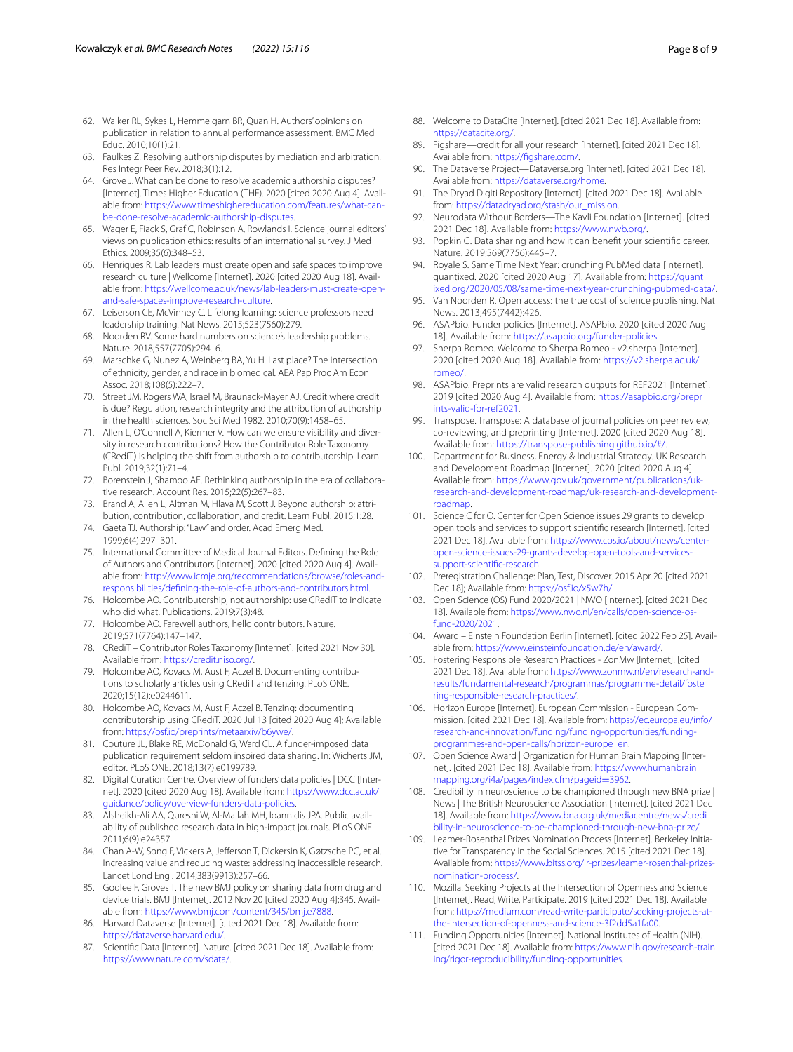- <span id="page-7-0"></span>62. Walker RL, Sykes L, Hemmelgarn BR, Quan H. Authors' opinions on publication in relation to annual performance assessment. BMC Med Educ. 2010;10(1):21.
- <span id="page-7-1"></span>63. Faulkes Z. Resolving authorship disputes by mediation and arbitration. Res Integr Peer Rev. 2018;3(1):12.
- 64. Grove J. What can be done to resolve academic authorship disputes? [Internet]. Times Higher Education (THE). 2020 [cited 2020 Aug 4]. Available from: [https://www.timeshighereducation.com/features/what-can](https://www.timeshighereducation.com/features/what-can-be-done-resolve-academic-authorship-disputes)[be-done-resolve-academic-authorship-disputes.](https://www.timeshighereducation.com/features/what-can-be-done-resolve-academic-authorship-disputes)
- <span id="page-7-2"></span>65. Wager E, Fiack S, Graf C, Robinson A, Rowlands I. Science journal editors' views on publication ethics: results of an international survey. J Med Ethics. 2009;35(6):348–53.
- <span id="page-7-3"></span>66. Henriques R. Lab leaders must create open and safe spaces to improve research culture | Wellcome [Internet]. 2020 [cited 2020 Aug 18]. Available from: [https://wellcome.ac.uk/news/lab-leaders-must-create-open](https://wellcome.ac.uk/news/lab-leaders-must-create-open-and-safe-spaces-improve-research-culture)[and-safe-spaces-improve-research-culture](https://wellcome.ac.uk/news/lab-leaders-must-create-open-and-safe-spaces-improve-research-culture).
- 67. Leiserson CE, McVinney C. Lifelong learning: science professors need leadership training. Nat News. 2015;523(7560):279.
- <span id="page-7-4"></span>68. Noorden RV. Some hard numbers on science's leadership problems. Nature. 2018;557(7705):294–6.
- <span id="page-7-5"></span>69. Marschke G, Nunez A, Weinberg BA, Yu H. Last place? The intersection of ethnicity, gender, and race in biomedical. AEA Pap Proc Am Econ Assoc. 2018;108(5):222–7.
- <span id="page-7-6"></span>70. Street JM, Rogers WA, Israel M, Braunack-Mayer AJ. Credit where credit is due? Regulation, research integrity and the attribution of authorship in the health sciences. Soc Sci Med 1982. 2010;70(9):1458–65.
- <span id="page-7-7"></span>71. Allen L, O'Connell A, Kiermer V. How can we ensure visibility and diversity in research contributions? How the Contributor Role Taxonomy (CRediT) is helping the shift from authorship to contributorship. Learn Publ. 2019;32(1):71–4.
- 72. Borenstein J, Shamoo AE. Rethinking authorship in the era of collaborative research. Account Res. 2015;22(5):267–83.
- <span id="page-7-15"></span>73. Brand A, Allen L, Altman M, Hlava M, Scott J. Beyond authorship: attribution, contribution, collaboration, and credit. Learn Publ. 2015;1:28.
- <span id="page-7-8"></span>74. Gaeta TJ. Authorship: "Law" and order. Acad Emerg Med. 1999;6(4):297–301.
- <span id="page-7-9"></span>75. International Committee of Medical Journal Editors. Defning the Role of Authors and Contributors [Internet]. 2020 [cited 2020 Aug 4]. Available from: [http://www.icmje.org/recommendations/browse/roles-and](http://www.icmje.org/recommendations/browse/roles-and-responsibilities/defining-the-role-of-authors-and-contributors.html)[responsibilities/defning-the-role-of-authors-and-contributors.html.](http://www.icmje.org/recommendations/browse/roles-and-responsibilities/defining-the-role-of-authors-and-contributors.html)
- <span id="page-7-10"></span>76. Holcombe AO. Contributorship, not authorship: use CRediT to indicate who did what. Publications. 2019;7(3):48.
- <span id="page-7-11"></span>77. Holcombe AO. Farewell authors, hello contributors. Nature. 2019;571(7764):147–147.
- <span id="page-7-12"></span>78. CRediT – Contributor Roles Taxonomy [Internet]. [cited 2021 Nov 30]. Available from:<https://credit.niso.org/>.
- <span id="page-7-13"></span>79. Holcombe AO, Kovacs M, Aust F, Aczel B. Documenting contributions to scholarly articles using CRediT and tenzing. PLoS ONE. 2020;15(12):e0244611.
- <span id="page-7-14"></span>80. Holcombe AO, Kovacs M, Aust F, Aczel B. Tenzing: documenting contributorship using CRediT. 2020 Jul 13 [cited 2020 Aug 4]; Available from:<https://osf.io/preprints/metaarxiv/b6ywe/>.
- <span id="page-7-16"></span>81. Couture JL, Blake RE, McDonald G, Ward CL. A funder-imposed data publication requirement seldom inspired data sharing. In: Wicherts JM, editor. PLoS ONE. 2018;13(7):e0199789.
- <span id="page-7-17"></span>82. Digital Curation Centre. Overview of funders' data policies | DCC [Internet]. 2020 [cited 2020 Aug 18]. Available from: [https://www.dcc.ac.uk/](https://www.dcc.ac.uk/guidance/policy/overview-funders-data-policies) [guidance/policy/overview-funders-data-policies](https://www.dcc.ac.uk/guidance/policy/overview-funders-data-policies).
- <span id="page-7-18"></span>83. Alsheikh-Ali AA, Qureshi W, Al-Mallah MH, Ioannidis JPA. Public availability of published research data in high-impact journals. PLoS ONE. 2011;6(9):e24357.
- <span id="page-7-20"></span>84. Chan A-W, Song F, Vickers A, Jefferson T, Dickersin K, Gøtzsche PC, et al. Increasing value and reducing waste: addressing inaccessible research. Lancet Lond Engl. 2014;383(9913):257–66.
- <span id="page-7-19"></span>85. Godlee F, Groves T. The new BMJ policy on sharing data from drug and device trials. BMJ [Internet]. 2012 Nov 20 [cited 2020 Aug 4];345. Available from: [https://www.bmj.com/content/345/bmj.e7888.](https://www.bmj.com/content/345/bmj.e7888)
- 86. Harvard Dataverse [Internet]. [cited 2021 Dec 18]. Available from: [https://dataverse.harvard.edu/.](https://dataverse.harvard.edu/)
- Scientific Data [Internet]. Nature. [cited 2021 Dec 18]. Available from: <https://www.nature.com/sdata/>.
- 88. Welcome to DataCite [Internet]. [cited 2021 Dec 18]. Available from: <https://datacite.org/>.
- 89. Figshare—credit for all your research [Internet]. [cited 2021 Dec 18]. Available from: [https://fgshare.com/](https://figshare.com/).
- <span id="page-7-21"></span>90. The Dataverse Project—Dataverse.org [Internet]. [cited 2021 Dec 18]. Available from: [https://dataverse.org/home.](https://dataverse.org/home)
- 91. The Dryad Digiti Repository [Internet]. [cited 2021 Dec 18]. Available from: [https://datadryad.org/stash/our\\_mission](https://datadryad.org/stash/our_mission).
- 92. Neurodata Without Borders—The Kavli Foundation [Internet]. [cited 2021 Dec 18]. Available from:<https://www.nwb.org/>.
- <span id="page-7-22"></span>93. Popkin G. Data sharing and how it can beneft your scientifc career. Nature. 2019;569(7756):445–7.
- <span id="page-7-23"></span>94. Royale S. Same Time Next Year: crunching PubMed data [Internet]. quantixed. 2020 [cited 2020 Aug 17]. Available from: [https://quant](https://quantixed.org/2020/05/08/same-time-next-year-crunching-pubmed-data/) [ixed.org/2020/05/08/same-time-next-year-crunching-pubmed-data/](https://quantixed.org/2020/05/08/same-time-next-year-crunching-pubmed-data/).
- <span id="page-7-24"></span>Van Noorden R. Open access: the true cost of science publishing. Nat News. 2013;495(7442):426.
- <span id="page-7-25"></span>96. ASAPbio. Funder policies [Internet]. ASAPbio. 2020 [cited 2020 Aug 18]. Available from: <https://asapbio.org/funder-policies>.
- <span id="page-7-26"></span>97. Sherpa Romeo. Welcome to Sherpa Romeo - v2.sherpa [Internet]. 2020 [cited 2020 Aug 18]. Available from: [https://v2.sherpa.ac.uk/](https://v2.sherpa.ac.uk/romeo/) [romeo/](https://v2.sherpa.ac.uk/romeo/).
- <span id="page-7-27"></span>98. ASAPbio. Preprints are valid research outputs for REF2021 [Internet]. 2019 [cited 2020 Aug 4]. Available from: [https://asapbio.org/prepr](https://asapbio.org/preprints-valid-for-ref2021) [ints-valid-for-ref2021](https://asapbio.org/preprints-valid-for-ref2021).
- <span id="page-7-28"></span>99. Transpose. Transpose: A database of journal policies on peer review, co-reviewing, and preprinting [Internet]. 2020 [cited 2020 Aug 18]. Available from: [https://transpose-publishing.github.io/#/.](https://transpose-publishing.github.io/#/)
- <span id="page-7-29"></span>100. Department for Business, Energy & Industrial Strategy. UK Research and Development Roadmap [Internet]. 2020 [cited 2020 Aug 4]. Available from: [https://www.gov.uk/government/publications/uk](https://www.gov.uk/government/publications/uk-research-and-development-roadmap/uk-research-and-development-roadmap)[research-and-development-roadmap/uk-research-and-development](https://www.gov.uk/government/publications/uk-research-and-development-roadmap/uk-research-and-development-roadmap)[roadmap](https://www.gov.uk/government/publications/uk-research-and-development-roadmap/uk-research-and-development-roadmap).
- <span id="page-7-30"></span>101. Science C for O. Center for Open Science issues 29 grants to develop open tools and services to support scientifc research [Internet]. [cited 2021 Dec 18]. Available from: [https://www.cos.io/about/news/center](https://www.cos.io/about/news/center-open-science-issues-29-grants-develop-open-tools-and-services-support-scientific-research)[open-science-issues-29-grants-develop-open-tools-and-services](https://www.cos.io/about/news/center-open-science-issues-29-grants-develop-open-tools-and-services-support-scientific-research)[support-scientifc-research](https://www.cos.io/about/news/center-open-science-issues-29-grants-develop-open-tools-and-services-support-scientific-research).
- <span id="page-7-31"></span>102. Preregistration Challenge: Plan, Test, Discover. 2015 Apr 20 [cited 2021 Dec 18]; Available from: [https://osf.io/x5w7h/.](https://osf.io/x5w7h/)
- <span id="page-7-32"></span>103. Open Science (OS) Fund 2020/2021 | NWO [Internet]. [cited 2021 Dec 18]. Available from: [https://www.nwo.nl/en/calls/open-science-os](https://www.nwo.nl/en/calls/open-science-os-fund-2020/2021)[fund-2020/2021](https://www.nwo.nl/en/calls/open-science-os-fund-2020/2021).
- <span id="page-7-33"></span>104. Award – Einstein Foundation Berlin [Internet]. [cited 2022 Feb 25]. Available from:<https://www.einsteinfoundation.de/en/award/>.
- <span id="page-7-34"></span>105. Fostering Responsible Research Practices - ZonMw [Internet]. [cited 2021 Dec 18]. Available from: [https://www.zonmw.nl/en/research-and](https://www.zonmw.nl/en/research-and-results/fundamental-research/programmas/programme-detail/fostering-responsible-research-practices/)[results/fundamental-research/programmas/programme-detail/foste](https://www.zonmw.nl/en/research-and-results/fundamental-research/programmas/programme-detail/fostering-responsible-research-practices/) [ring-responsible-research-practices/](https://www.zonmw.nl/en/research-and-results/fundamental-research/programmas/programme-detail/fostering-responsible-research-practices/).
- <span id="page-7-35"></span>106. Horizon Europe [Internet]. European Commission - European Commission. [cited 2021 Dec 18]. Available from: [https://ec.europa.eu/info/](https://ec.europa.eu/info/research-and-innovation/funding/funding-opportunities/funding-programmes-and-open-calls/horizon-europe_en) [research-and-innovation/funding/funding-opportunities/funding](https://ec.europa.eu/info/research-and-innovation/funding/funding-opportunities/funding-programmes-and-open-calls/horizon-europe_en)[programmes-and-open-calls/horizon-europe\\_en.](https://ec.europa.eu/info/research-and-innovation/funding/funding-opportunities/funding-programmes-and-open-calls/horizon-europe_en)
- <span id="page-7-36"></span>107. Open Science Award | Organization for Human Brain Mapping [Internet]. [cited 2021 Dec 18]. Available from: [https://www.humanbrain](https://www.humanbrainmapping.org/i4a/pages/index.cfm?pageid=3962) [mapping.org/i4a/pages/index.cfm?pageid](https://www.humanbrainmapping.org/i4a/pages/index.cfm?pageid=3962)=3962.
- <span id="page-7-37"></span>108. Credibility in neuroscience to be championed through new BNA prize | News | The British Neuroscience Association [Internet]. [cited 2021 Dec 18]. Available from: [https://www.bna.org.uk/mediacentre/news/credi](https://www.bna.org.uk/mediacentre/news/credibility-in-neuroscience-to-be-championed-through-new-bna-prize/) [bility-in-neuroscience-to-be-championed-through-new-bna-prize/](https://www.bna.org.uk/mediacentre/news/credibility-in-neuroscience-to-be-championed-through-new-bna-prize/).
- <span id="page-7-38"></span>109. Leamer-Rosenthal Prizes Nomination Process [Internet]. Berkeley Initiative for Transparency in the Social Sciences. 2015 [cited 2021 Dec 18]. Available from: [https://www.bitss.org/lr-prizes/leamer-rosenthal-prizes](https://www.bitss.org/lr-prizes/leamer-rosenthal-prizes-nomination-process/)[nomination-process/](https://www.bitss.org/lr-prizes/leamer-rosenthal-prizes-nomination-process/).
- <span id="page-7-39"></span>110. Mozilla. Seeking Projects at the Intersection of Openness and Science [Internet]. Read, Write, Participate. 2019 [cited 2021 Dec 18]. Available from: [https://medium.com/read-write-participate/seeking-projects-at](https://medium.com/read-write-participate/seeking-projects-at-the-intersection-of-openness-and-science-3f2dd5a1fa00)[the-intersection-of-openness-and-science-3f2dd5a1fa00](https://medium.com/read-write-participate/seeking-projects-at-the-intersection-of-openness-and-science-3f2dd5a1fa00).
- <span id="page-7-40"></span>111. Funding Opportunities [Internet]. National Institutes of Health (NIH). [cited 2021 Dec 18]. Available from: [https://www.nih.gov/research-train](https://www.nih.gov/research-training/rigor-reproducibility/funding-opportunities) [ing/rigor-reproducibility/funding-opportunities](https://www.nih.gov/research-training/rigor-reproducibility/funding-opportunities).